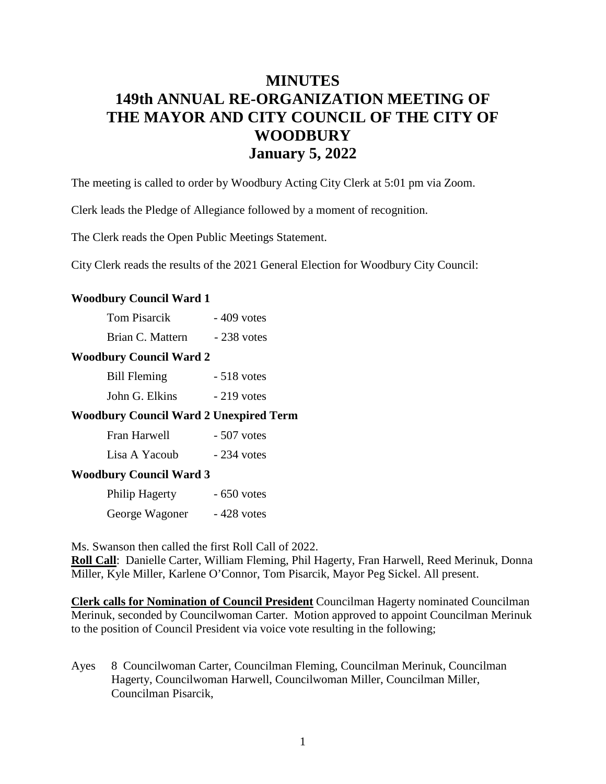# **MINUTES 149th ANNUAL RE-ORGANIZATION MEETING OF THE MAYOR AND CITY COUNCIL OF THE CITY OF WOODBURY January 5, 2022**

The meeting is called to order by Woodbury Acting City Clerk at 5:01 pm via Zoom.

Clerk leads the Pledge of Allegiance followed by a moment of recognition.

The Clerk reads the Open Public Meetings Statement.

City Clerk reads the results of the 2021 General Election for Woodbury City Council:

#### **Woodbury Council Ward 1**

| <b>Tom Pisarcik</b> | $-409$ votes |  |
|---------------------|--------------|--|
|                     |              |  |

Brian C. Mattern - 238 votes

## **Woodbury Council Ward 2**

| <b>Bill Fleming</b> | $-518$ votes |
|---------------------|--------------|
| John G. Elkins      | $-219$ votes |

### **Woodbury Council Ward 2 Unexpired Term**

| Fran Harwell  | $-507$ votes |
|---------------|--------------|
| Lisa A Yacoub | $-234$ votes |

#### **Woodbury Council Ward 3**

| Philip Hagerty | $-650$ votes |
|----------------|--------------|
| George Wagoner | $-428$ votes |

Ms. Swanson then called the first Roll Call of 2022.

**Roll Call**: Danielle Carter, William Fleming, Phil Hagerty, Fran Harwell, Reed Merinuk, Donna Miller, Kyle Miller, Karlene O'Connor, Tom Pisarcik, Mayor Peg Sickel. All present.

**Clerk calls for Nomination of Council President** Councilman Hagerty nominated Councilman Merinuk, seconded by Councilwoman Carter. Motion approved to appoint Councilman Merinuk to the position of Council President via voice vote resulting in the following;

Ayes 8 Councilwoman Carter, Councilman Fleming, Councilman Merinuk, Councilman Hagerty, Councilwoman Harwell, Councilwoman Miller, Councilman Miller, Councilman Pisarcik,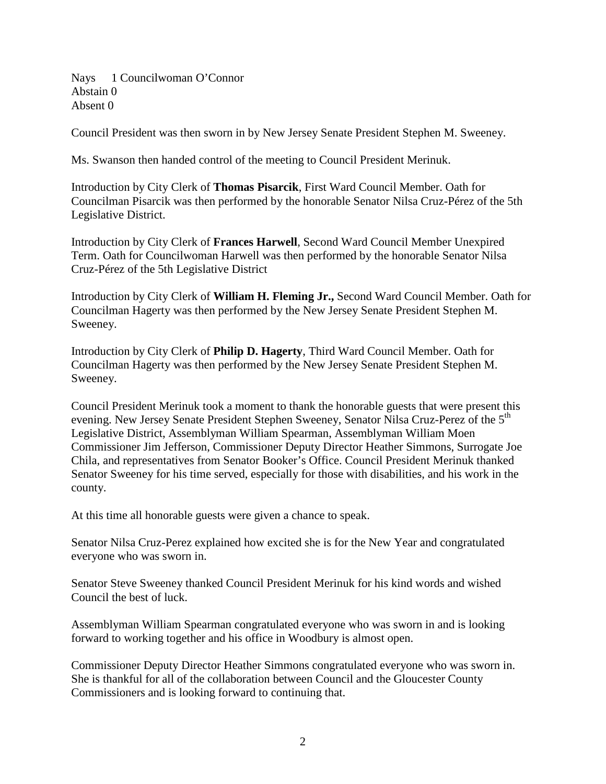Nays 1 Councilwoman O'Connor Abstain 0 Absent 0

Council President was then sworn in by New Jersey Senate President Stephen M. Sweeney.

Ms. Swanson then handed control of the meeting to Council President Merinuk.

Introduction by City Clerk of **Thomas Pisarcik**, First Ward Council Member. Oath for Councilman Pisarcik was then performed by the honorable Senator Nilsa Cruz-Pérez of the 5th Legislative District.

Introduction by City Clerk of **Frances Harwell**, Second Ward Council Member Unexpired Term. Oath for Councilwoman Harwell was then performed by the honorable Senator Nilsa Cruz-Pérez of the 5th Legislative District

Introduction by City Clerk of **William H. Fleming Jr.,** Second Ward Council Member. Oath for Councilman Hagerty was then performed by the New Jersey Senate President Stephen M. Sweeney.

Introduction by City Clerk of **Philip D. Hagerty**, Third Ward Council Member. Oath for Councilman Hagerty was then performed by the New Jersey Senate President Stephen M. Sweeney.

Council President Merinuk took a moment to thank the honorable guests that were present this evening. New Jersey Senate President Stephen Sweeney, Senator Nilsa Cruz-Perez of the 5<sup>th</sup> Legislative District, Assemblyman William Spearman, Assemblyman William Moen Commissioner Jim Jefferson, Commissioner Deputy Director Heather Simmons, Surrogate Joe Chila, and representatives from Senator Booker's Office. Council President Merinuk thanked Senator Sweeney for his time served, especially for those with disabilities, and his work in the county.

At this time all honorable guests were given a chance to speak.

Senator Nilsa Cruz-Perez explained how excited she is for the New Year and congratulated everyone who was sworn in.

Senator Steve Sweeney thanked Council President Merinuk for his kind words and wished Council the best of luck.

Assemblyman William Spearman congratulated everyone who was sworn in and is looking forward to working together and his office in Woodbury is almost open.

Commissioner Deputy Director Heather Simmons congratulated everyone who was sworn in. She is thankful for all of the collaboration between Council and the Gloucester County Commissioners and is looking forward to continuing that.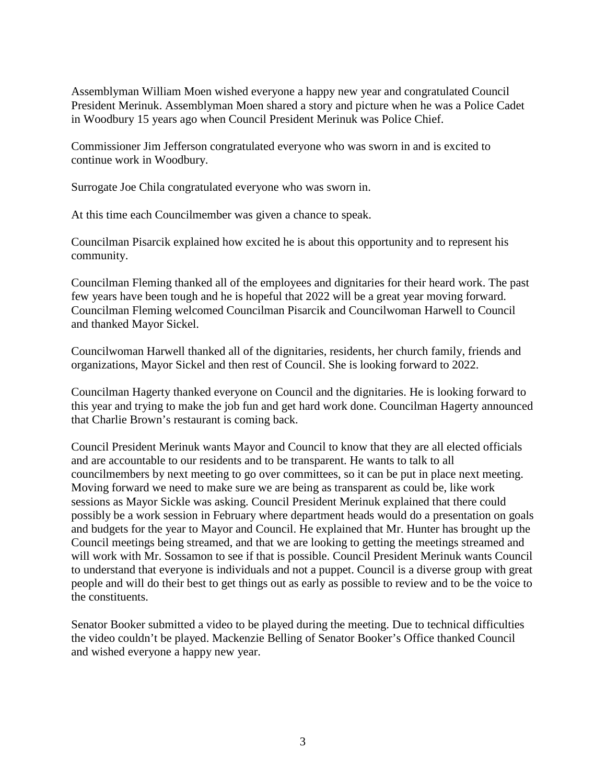Assemblyman William Moen wished everyone a happy new year and congratulated Council President Merinuk. Assemblyman Moen shared a story and picture when he was a Police Cadet in Woodbury 15 years ago when Council President Merinuk was Police Chief.

Commissioner Jim Jefferson congratulated everyone who was sworn in and is excited to continue work in Woodbury.

Surrogate Joe Chila congratulated everyone who was sworn in.

At this time each Councilmember was given a chance to speak.

Councilman Pisarcik explained how excited he is about this opportunity and to represent his community.

Councilman Fleming thanked all of the employees and dignitaries for their heard work. The past few years have been tough and he is hopeful that 2022 will be a great year moving forward. Councilman Fleming welcomed Councilman Pisarcik and Councilwoman Harwell to Council and thanked Mayor Sickel.

Councilwoman Harwell thanked all of the dignitaries, residents, her church family, friends and organizations, Mayor Sickel and then rest of Council. She is looking forward to 2022.

Councilman Hagerty thanked everyone on Council and the dignitaries. He is looking forward to this year and trying to make the job fun and get hard work done. Councilman Hagerty announced that Charlie Brown's restaurant is coming back.

Council President Merinuk wants Mayor and Council to know that they are all elected officials and are accountable to our residents and to be transparent. He wants to talk to all councilmembers by next meeting to go over committees, so it can be put in place next meeting. Moving forward we need to make sure we are being as transparent as could be, like work sessions as Mayor Sickle was asking. Council President Merinuk explained that there could possibly be a work session in February where department heads would do a presentation on goals and budgets for the year to Mayor and Council. He explained that Mr. Hunter has brought up the Council meetings being streamed, and that we are looking to getting the meetings streamed and will work with Mr. Sossamon to see if that is possible. Council President Merinuk wants Council to understand that everyone is individuals and not a puppet. Council is a diverse group with great people and will do their best to get things out as early as possible to review and to be the voice to the constituents.

Senator Booker submitted a video to be played during the meeting. Due to technical difficulties the video couldn't be played. Mackenzie Belling of Senator Booker's Office thanked Council and wished everyone a happy new year.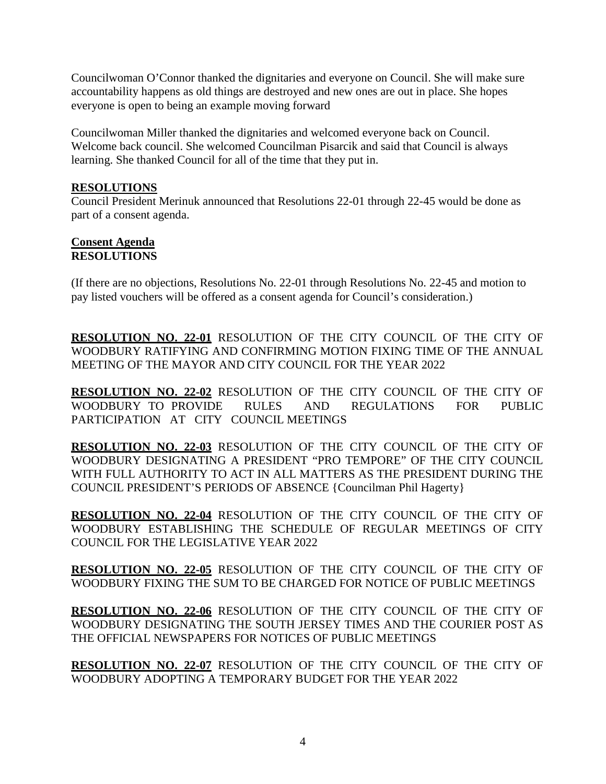Councilwoman O'Connor thanked the dignitaries and everyone on Council. She will make sure accountability happens as old things are destroyed and new ones are out in place. She hopes everyone is open to being an example moving forward

Councilwoman Miller thanked the dignitaries and welcomed everyone back on Council. Welcome back council. She welcomed Councilman Pisarcik and said that Council is always learning. She thanked Council for all of the time that they put in.

## **RESOLUTIONS**

Council President Merinuk announced that Resolutions 22-01 through 22-45 would be done as part of a consent agenda.

#### **Consent Agenda RESOLUTIONS**

(If there are no objections, Resolutions No. 22-01 through Resolutions No. 22-45 and motion to pay listed vouchers will be offered as a consent agenda for Council's consideration.)

**RESOLUTION NO. 22-01** RESOLUTION OF THE CITY COUNCIL OF THE CITY OF WOODBURY RATIFYING AND CONFIRMING MOTION FIXING TIME OF THE ANNUAL MEETING OF THE MAYOR AND CITY COUNCIL FOR THE YEAR 2022

**RESOLUTION NO. 22-02** RESOLUTION OF THE CITY COUNCIL OF THE CITY OF WOODBURY TO PROVIDE RULES AND REGULATIONS FOR PUBLIC PARTICIPATION AT CITY COUNCIL MEETINGS

**RESOLUTION NO. 22-03** RESOLUTION OF THE CITY COUNCIL OF THE CITY OF WOODBURY DESIGNATING A PRESIDENT "PRO TEMPORE" OF THE CITY COUNCIL WITH FULL AUTHORITY TO ACT IN ALL MATTERS AS THE PRESIDENT DURING THE COUNCIL PRESIDENT'S PERIODS OF ABSENCE {Councilman Phil Hagerty}

**RESOLUTION NO. 22-04** RESOLUTION OF THE CITY COUNCIL OF THE CITY OF WOODBURY ESTABLISHING THE SCHEDULE OF REGULAR MEETINGS OF CITY COUNCIL FOR THE LEGISLATIVE YEAR 2022

**RESOLUTION NO. 22-05** RESOLUTION OF THE CITY COUNCIL OF THE CITY OF WOODBURY FIXING THE SUM TO BE CHARGED FOR NOTICE OF PUBLIC MEETINGS

**RESOLUTION NO. 22-06** RESOLUTION OF THE CITY COUNCIL OF THE CITY OF WOODBURY DESIGNATING THE SOUTH JERSEY TIMES AND THE COURIER POST AS THE OFFICIAL NEWSPAPERS FOR NOTICES OF PUBLIC MEETINGS

**RESOLUTION NO. 22-07** RESOLUTION OF THE CITY COUNCIL OF THE CITY OF WOODBURY ADOPTING A TEMPORARY BUDGET FOR THE YEAR 2022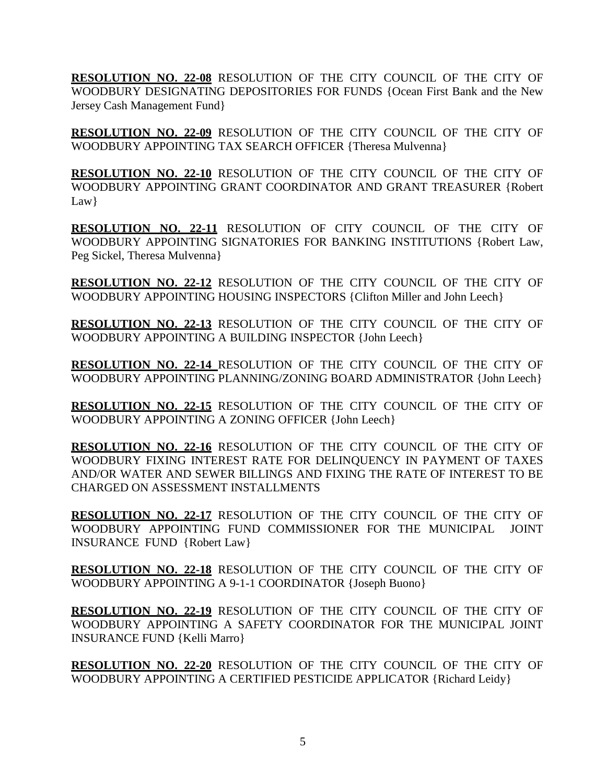**RESOLUTION NO. 22-08** RESOLUTION OF THE CITY COUNCIL OF THE CITY OF WOODBURY DESIGNATING DEPOSITORIES FOR FUNDS {Ocean First Bank and the New Jersey Cash Management Fund}

**RESOLUTION NO. 22-09** RESOLUTION OF THE CITY COUNCIL OF THE CITY OF WOODBURY APPOINTING TAX SEARCH OFFICER {Theresa Mulvenna}

**RESOLUTION NO. 22-10** RESOLUTION OF THE CITY COUNCIL OF THE CITY OF WOODBURY APPOINTING GRANT COORDINATOR AND GRANT TREASURER {Robert Law}

**RESOLUTION NO. 22-11** RESOLUTION OF CITY COUNCIL OF THE CITY OF WOODBURY APPOINTING SIGNATORIES FOR BANKING INSTITUTIONS {Robert Law, Peg Sickel, Theresa Mulvenna}

**RESOLUTION NO. 22-12** RESOLUTION OF THE CITY COUNCIL OF THE CITY OF WOODBURY APPOINTING HOUSING INSPECTORS {Clifton Miller and John Leech}

**RESOLUTION NO. 22-13** RESOLUTION OF THE CITY COUNCIL OF THE CITY OF WOODBURY APPOINTING A BUILDING INSPECTOR {John Leech}

**RESOLUTION NO. 22-14** RESOLUTION OF THE CITY COUNCIL OF THE CITY OF WOODBURY APPOINTING PLANNING/ZONING BOARD ADMINISTRATOR {John Leech}

**RESOLUTION NO. 22-15** RESOLUTION OF THE CITY COUNCIL OF THE CITY OF WOODBURY APPOINTING A ZONING OFFICER {John Leech}

**RESOLUTION NO. 22-16** RESOLUTION OF THE CITY COUNCIL OF THE CITY OF WOODBURY FIXING INTEREST RATE FOR DELINQUENCY IN PAYMENT OF TAXES AND/OR WATER AND SEWER BILLINGS AND FIXING THE RATE OF INTEREST TO BE CHARGED ON ASSESSMENT INSTALLMENTS

**RESOLUTION NO. 22-17** RESOLUTION OF THE CITY COUNCIL OF THE CITY OF WOODBURY APPOINTING FUND COMMISSIONER FOR THE MUNICIPAL JOINT INSURANCE FUND {Robert Law}

**RESOLUTION NO. 22-18** RESOLUTION OF THE CITY COUNCIL OF THE CITY OF WOODBURY APPOINTING A 9-1-1 COORDINATOR {Joseph Buono}

**RESOLUTION NO. 22-19** RESOLUTION OF THE CITY COUNCIL OF THE CITY OF WOODBURY APPOINTING A SAFETY COORDINATOR FOR THE MUNICIPAL JOINT INSURANCE FUND {Kelli Marro}

**RESOLUTION NO. 22-20** RESOLUTION OF THE CITY COUNCIL OF THE CITY OF WOODBURY APPOINTING A CERTIFIED PESTICIDE APPLICATOR {Richard Leidy}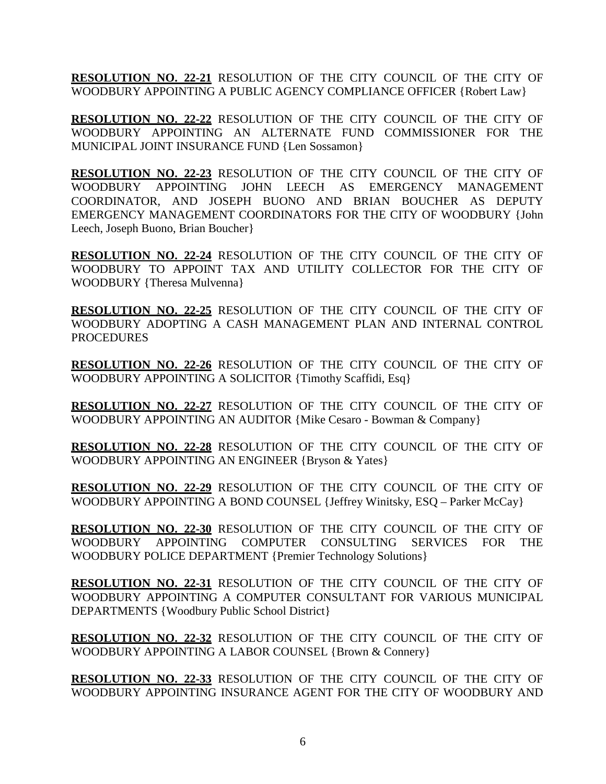**RESOLUTION NO. 22-21** RESOLUTION OF THE CITY COUNCIL OF THE CITY OF WOODBURY APPOINTING A PUBLIC AGENCY COMPLIANCE OFFICER {Robert Law}

**RESOLUTION NO. 22-22** RESOLUTION OF THE CITY COUNCIL OF THE CITY OF WOODBURY APPOINTING AN ALTERNATE FUND COMMISSIONER FOR THE MUNICIPAL JOINT INSURANCE FUND {Len Sossamon}

**RESOLUTION NO. 22-23** RESOLUTION OF THE CITY COUNCIL OF THE CITY OF WOODBURY APPOINTING JOHN LEECH AS EMERGENCY MANAGEMENT COORDINATOR, AND JOSEPH BUONO AND BRIAN BOUCHER AS DEPUTY EMERGENCY MANAGEMENT COORDINATORS FOR THE CITY OF WOODBURY {John Leech, Joseph Buono, Brian Boucher}

**RESOLUTION NO. 22-24** RESOLUTION OF THE CITY COUNCIL OF THE CITY OF WOODBURY TO APPOINT TAX AND UTILITY COLLECTOR FOR THE CITY OF WOODBURY {Theresa Mulvenna}

**RESOLUTION NO. 22-25** RESOLUTION OF THE CITY COUNCIL OF THE CITY OF WOODBURY ADOPTING A CASH MANAGEMENT PLAN AND INTERNAL CONTROL PROCEDURES

**RESOLUTION NO. 22-26** RESOLUTION OF THE CITY COUNCIL OF THE CITY OF WOODBURY APPOINTING A SOLICITOR {Timothy Scaffidi, Esq}

**RESOLUTION NO. 22-27** RESOLUTION OF THE CITY COUNCIL OF THE CITY OF WOODBURY APPOINTING AN AUDITOR {Mike Cesaro - Bowman & Company}

**RESOLUTION NO. 22-28** RESOLUTION OF THE CITY COUNCIL OF THE CITY OF WOODBURY APPOINTING AN ENGINEER {Bryson & Yates}

**RESOLUTION NO. 22-29** RESOLUTION OF THE CITY COUNCIL OF THE CITY OF WOODBURY APPOINTING A BOND COUNSEL {Jeffrey Winitsky, ESQ – Parker McCay}

**RESOLUTION NO. 22-30** RESOLUTION OF THE CITY COUNCIL OF THE CITY OF WOODBURY APPOINTING COMPUTER CONSULTING SERVICES FOR THE WOODBURY POLICE DEPARTMENT {Premier Technology Solutions}

**RESOLUTION NO. 22-31** RESOLUTION OF THE CITY COUNCIL OF THE CITY OF WOODBURY APPOINTING A COMPUTER CONSULTANT FOR VARIOUS MUNICIPAL DEPARTMENTS {Woodbury Public School District}

**RESOLUTION NO. 22-32** RESOLUTION OF THE CITY COUNCIL OF THE CITY OF WOODBURY APPOINTING A LABOR COUNSEL {Brown & Connery}

**RESOLUTION NO. 22-33** RESOLUTION OF THE CITY COUNCIL OF THE CITY OF WOODBURY APPOINTING INSURANCE AGENT FOR THE CITY OF WOODBURY AND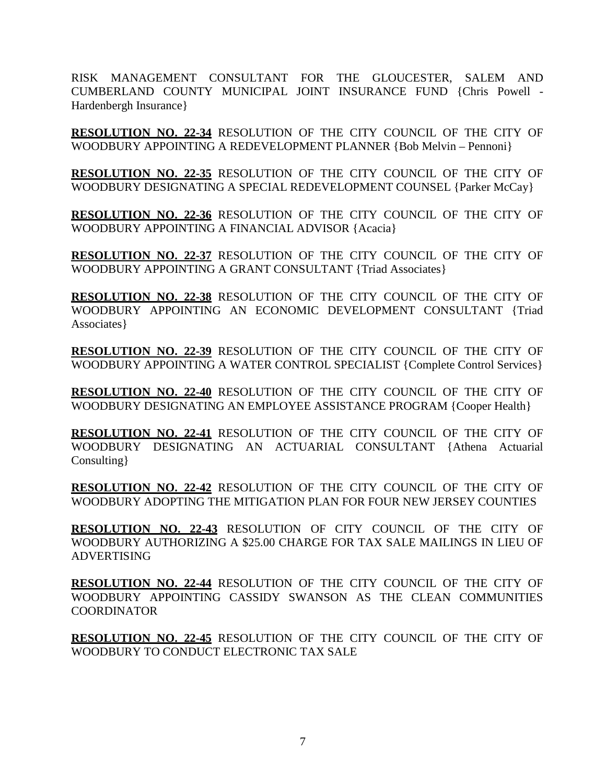RISK MANAGEMENT CONSULTANT FOR THE GLOUCESTER, SALEM AND CUMBERLAND COUNTY MUNICIPAL JOINT INSURANCE FUND {Chris Powell - Hardenbergh Insurance}

**RESOLUTION NO. 22-34** RESOLUTION OF THE CITY COUNCIL OF THE CITY OF WOODBURY APPOINTING A REDEVELOPMENT PLANNER {Bob Melvin – Pennoni}

**RESOLUTION NO. 22-35** RESOLUTION OF THE CITY COUNCIL OF THE CITY OF WOODBURY DESIGNATING A SPECIAL REDEVELOPMENT COUNSEL {Parker McCay}

**RESOLUTION NO. 22-36** RESOLUTION OF THE CITY COUNCIL OF THE CITY OF WOODBURY APPOINTING A FINANCIAL ADVISOR {Acacia}

**RESOLUTION NO. 22-37** RESOLUTION OF THE CITY COUNCIL OF THE CITY OF WOODBURY APPOINTING A GRANT CONSULTANT {Triad Associates}

**RESOLUTION NO. 22-38** RESOLUTION OF THE CITY COUNCIL OF THE CITY OF WOODBURY APPOINTING AN ECONOMIC DEVELOPMENT CONSULTANT {Triad Associates}

**RESOLUTION NO. 22-39** RESOLUTION OF THE CITY COUNCIL OF THE CITY OF WOODBURY APPOINTING A WATER CONTROL SPECIALIST {Complete Control Services}

**RESOLUTION NO. 22-40** RESOLUTION OF THE CITY COUNCIL OF THE CITY OF WOODBURY DESIGNATING AN EMPLOYEE ASSISTANCE PROGRAM {Cooper Health}

**RESOLUTION NO. 22-41** RESOLUTION OF THE CITY COUNCIL OF THE CITY OF WOODBURY DESIGNATING AN ACTUARIAL CONSULTANT {Athena Actuarial Consulting}

**RESOLUTION NO. 22-42** RESOLUTION OF THE CITY COUNCIL OF THE CITY OF WOODBURY ADOPTING THE MITIGATION PLAN FOR FOUR NEW JERSEY COUNTIES

**RESOLUTION NO. 22-43** RESOLUTION OF CITY COUNCIL OF THE CITY OF WOODBURY AUTHORIZING A \$25.00 CHARGE FOR TAX SALE MAILINGS IN LIEU OF ADVERTISING

**RESOLUTION NO. 22-44** RESOLUTION OF THE CITY COUNCIL OF THE CITY OF WOODBURY APPOINTING CASSIDY SWANSON AS THE CLEAN COMMUNITIES COORDINATOR

**RESOLUTION NO. 22-45** RESOLUTION OF THE CITY COUNCIL OF THE CITY OF WOODBURY TO CONDUCT ELECTRONIC TAX SALE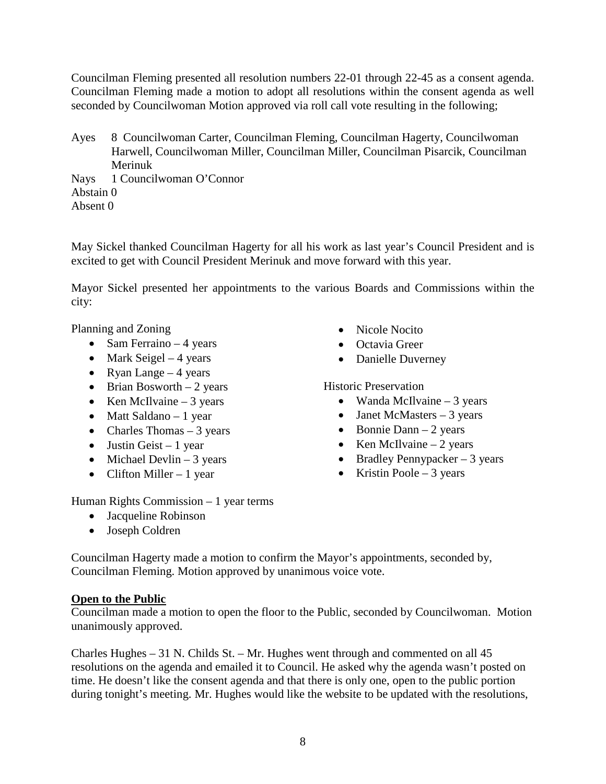Councilman Fleming presented all resolution numbers 22-01 through 22-45 as a consent agenda. Councilman Fleming made a motion to adopt all resolutions within the consent agenda as well seconded by Councilwoman Motion approved via roll call vote resulting in the following;

Ayes 8 Councilwoman Carter, Councilman Fleming, Councilman Hagerty, Councilwoman Harwell, Councilwoman Miller, Councilman Miller, Councilman Pisarcik, Councilman Merinuk

Nays 1 Councilwoman O'Connor Abstain 0 Absent 0

May Sickel thanked Councilman Hagerty for all his work as last year's Council President and is excited to get with Council President Merinuk and move forward with this year.

Mayor Sickel presented her appointments to the various Boards and Commissions within the city:

Planning and Zoning

- Sam Ferraino  $-4$  years
- Mark Seigel  $-4$  years
- Ryan Lange  $-4$  years
- Brian Bosworth  $-2$  years
- Ken McIlvaine  $-3$  years
- Matt Saldano 1 year
- Charles Thomas  $-3$  years
- Justin Geist 1 year
- Michael Devlin  $-3$  years
- Clifton Miller 1 year
- Nicole Nocito
- Octavia Greer
- Danielle Duverney

# Historic Preservation

- Wanda McIlvaine  $-3$  years
- Janet McMasters 3 years
- Bonnie Dann 2 years
- Ken McIlvaine  $-2$  years
- Bradley Pennypacker  $-3$  years
- Kristin Poole 3 years

Human Rights Commission – 1 year terms

- Jacqueline Robinson
- Joseph Coldren

Councilman Hagerty made a motion to confirm the Mayor's appointments, seconded by, Councilman Fleming. Motion approved by unanimous voice vote.

## **Open to the Public**

Councilman made a motion to open the floor to the Public, seconded by Councilwoman. Motion unanimously approved.

Charles Hughes – 31 N. Childs St. – Mr. Hughes went through and commented on all 45 resolutions on the agenda and emailed it to Council. He asked why the agenda wasn't posted on time. He doesn't like the consent agenda and that there is only one, open to the public portion during tonight's meeting. Mr. Hughes would like the website to be updated with the resolutions,